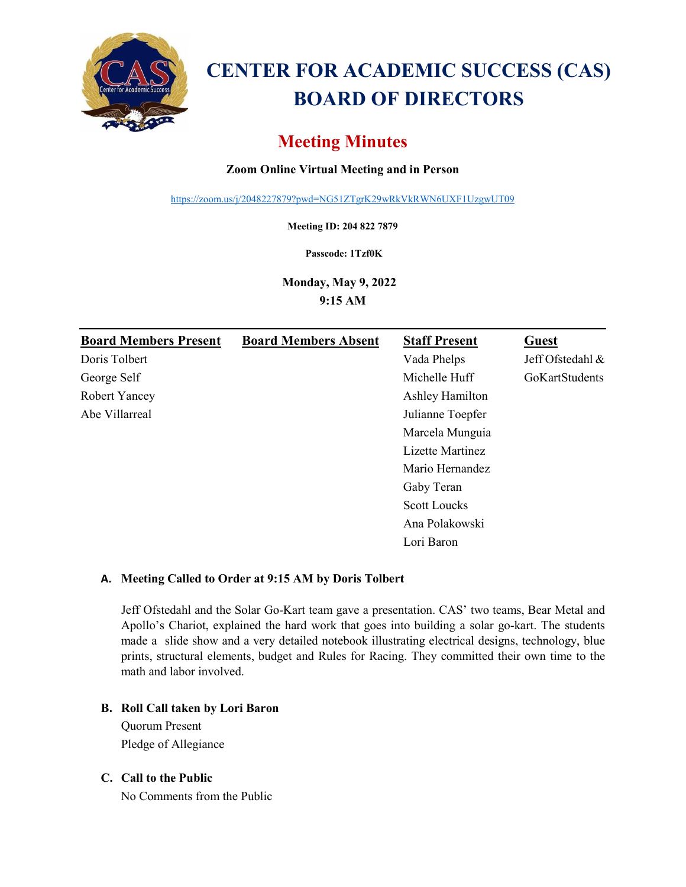

# **CENTER FOR ACADEMIC SUCCESS (CAS) BOARD OF DIRECTORS**

# **Meeting Minutes**

# **Zoom Online Virtual Meeting and in Person**

<https://zoom.us/j/2048227879?pwd=NG51ZTgrK29wRkVkRWN6UXF1UzgwUT09>

**Meeting ID: 204 822 7879**

**Passcode: 1Tzf0K**

**Monday, May 9, 2022 9:15 AM** 

| <b>Board Members Present</b> | <b>Board Members Absent</b> | <b>Staff Present</b> | <b>Guest</b>     |
|------------------------------|-----------------------------|----------------------|------------------|
| Doris Tolbert                |                             | Vada Phelps          | Jeff Ofstedahl & |
| George Self                  |                             | Michelle Huff        | GoKartStudents   |
| Robert Yancey                |                             | Ashley Hamilton      |                  |
| Abe Villarreal               |                             | Julianne Toepfer     |                  |
|                              |                             | Marcela Munguia      |                  |
|                              |                             | Lizette Martinez     |                  |
|                              |                             | Mario Hernandez      |                  |
|                              |                             | Gaby Teran           |                  |
|                              |                             | <b>Scott Loucks</b>  |                  |
|                              |                             | Ana Polakowski       |                  |
|                              |                             | Lori Baron           |                  |

### **A. Meeting Called to Order at 9:15 AM by Doris Tolbert**

Jeff Ofstedahl and the Solar Go-Kart team gave a presentation. CAS' two teams, Bear Metal and Apollo's Chariot, explained the hard work that goes into building a solar go-kart. The students made a slide show and a very detailed notebook illustrating electrical designs, technology, blue prints, structural elements, budget and Rules for Racing. They committed their own time to the math and labor involved.

#### **B. Roll Call taken by Lori Baron**

Quorum Present Pledge of Allegiance

#### **C. Call to the Public**

No Comments from the Public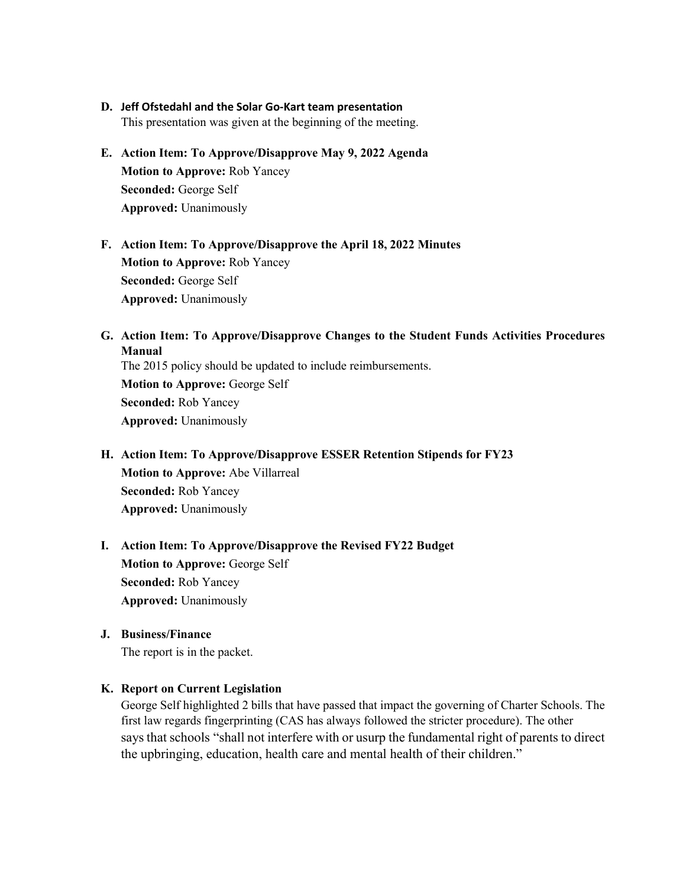#### **D. Jeff Ofstedahl and the Solar Go-Kart team presentation**

This presentation was given at the beginning of the meeting.

- **E. Action Item: To Approve/Disapprove May 9, 2022 Agenda Motion to Approve:** Rob Yancey **Seconded:** George Self **Approved:** Unanimously
- **F. Action Item: To Approve/Disapprove the April 18, 2022 Minutes Motion to Approve:** Rob Yancey **Seconded:** George Self **Approved:** Unanimously
- **G. Action Item: To Approve/Disapprove Changes to the Student Funds Activities Procedures Manual** The 2015 policy should be updated to include reimbursements. **Motion to Approve:** George Self **Seconded:** Rob Yancey

**Approved:** Unanimously

- **H. Action Item: To Approve/Disapprove ESSER Retention Stipends for FY23 Motion to Approve:** Abe Villarreal **Seconded:** Rob Yancey **Approved:** Unanimously
- **I. Action Item: To Approve/Disapprove the Revised FY22 Budget Motion to Approve:** George Self **Seconded:** Rob Yancey **Approved:** Unanimously
- **J. Business/Finance** The report is in the packet.

#### **K. Report on Current Legislation**

George Self highlighted 2 bills that have passed that impact the governing of Charter Schools. The first law regards fingerprinting (CAS has always followed the stricter procedure). The other says that schools ["shall not interfere with or usurp the fundamental right of parents to direct](https://tucson.com/news/state-and-regional/govt-and-politics/arizona-senate-parents-may-sue-teachers-for-usurping-their-rights/article_585d62b4-bf49-11ec-9816-176a700841ab.html)  [the upbringing, education, health care and mental health of their children."](https://tucson.com/news/state-and-regional/govt-and-politics/arizona-senate-parents-may-sue-teachers-for-usurping-their-rights/article_585d62b4-bf49-11ec-9816-176a700841ab.html)